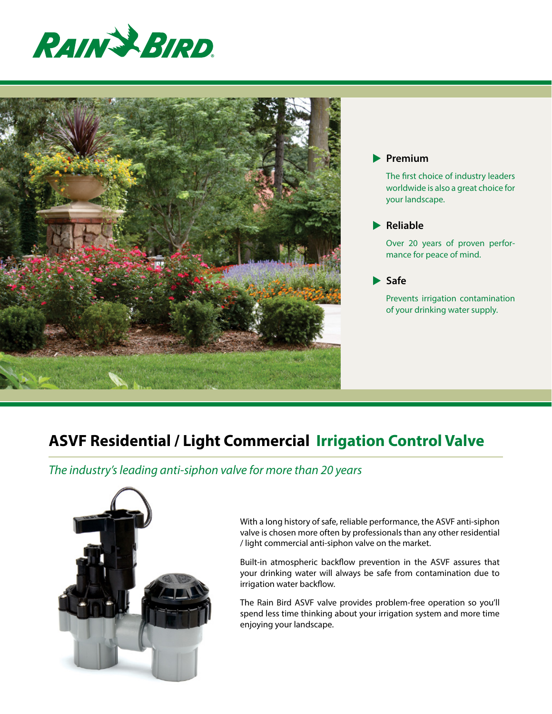



#### **Premium**

The first choice of industry leaders worldwide is also a great choice for your landscape.

### **Reliable**

Over 20 years of proven performance for peace of mind.

 **Safe**

Prevents irrigation contamination of your drinking water supply.

# **ASVF Residential / Light Commercial Irrigation Control Valve**

*The industry's leading anti-siphon valve for more than 20 years*



With a long history of safe, reliable performance, the ASVF anti-siphon valve is chosen more often by professionals than any other residential / light commercial anti-siphon valve on the market.

Built-in atmospheric backflow prevention in the ASVF assures that your drinking water will always be safe from contamination due to irrigation water backflow.

The Rain Bird ASVF valve provides problem-free operation so you'll spend less time thinking about your irrigation system and more time enjoying your landscape.